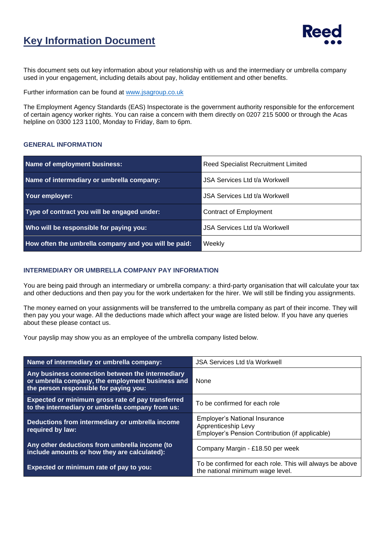## **Key Information Document**



This document sets out key information about your relationship with us and the intermediary or umbrella company used in your engagement, including details about pay, holiday entitlement and other benefits.

Further information can be found at [www.jsagroup.co.uk](http://www.jsagroup.co.uk/)

The Employment Agency Standards (EAS) Inspectorate is the government authority responsible for the enforcement of certain agency worker rights. You can raise a concern with them directly on 0207 215 5000 or through the Acas helpline on 0300 123 1100, Monday to Friday, 8am to 6pm.

#### **GENERAL INFORMATION**

| Name of employment business:                         | <b>Reed Specialist Recruitment Limited</b> |  |
|------------------------------------------------------|--------------------------------------------|--|
| Name of intermediary or umbrella company:            | JSA Services Ltd t/a Workwell              |  |
| Your employer:                                       | USA Services Ltd t/a Workwell              |  |
| Type of contract you will be engaged under:          | Contract of Employment                     |  |
| Who will be responsible for paying you:              | JSA Services Ltd t/a Workwell              |  |
| How often the umbrella company and you will be paid: | Weekly                                     |  |

#### **INTERMEDIARY OR UMBRELLA COMPANY PAY INFORMATION**

You are being paid through an intermediary or umbrella company: a third-party organisation that will calculate your tax and other deductions and then pay you for the work undertaken for the hirer. We will still be finding you assignments.

The money earned on your assignments will be transferred to the umbrella company as part of their income. They will then pay you your wage. All the deductions made which affect your wage are listed below. If you have any queries about these please contact us.

Your payslip may show you as an employee of the umbrella company listed below.

| Name of intermediary or umbrella company:                                                                                                      | <b>JSA Services Ltd t/a Workwell</b>                                                                           |  |
|------------------------------------------------------------------------------------------------------------------------------------------------|----------------------------------------------------------------------------------------------------------------|--|
| Any business connection between the intermediary<br>or umbrella company, the employment business and<br>the person responsible for paying you: | None                                                                                                           |  |
| Expected or minimum gross rate of pay transferred<br>to the intermediary or umbrella company from us:                                          | To be confirmed for each role                                                                                  |  |
| Deductions from intermediary or umbrella income<br>required by law:                                                                            | <b>Employer's National Insurance</b><br>Apprenticeship Levy<br>Employer's Pension Contribution (if applicable) |  |
| Any other deductions from umbrella income (to<br>include amounts or how they are calculated):                                                  | Company Margin - £18.50 per week                                                                               |  |
| Expected or minimum rate of pay to you:                                                                                                        | To be confirmed for each role. This will always be above<br>the national minimum wage level.                   |  |